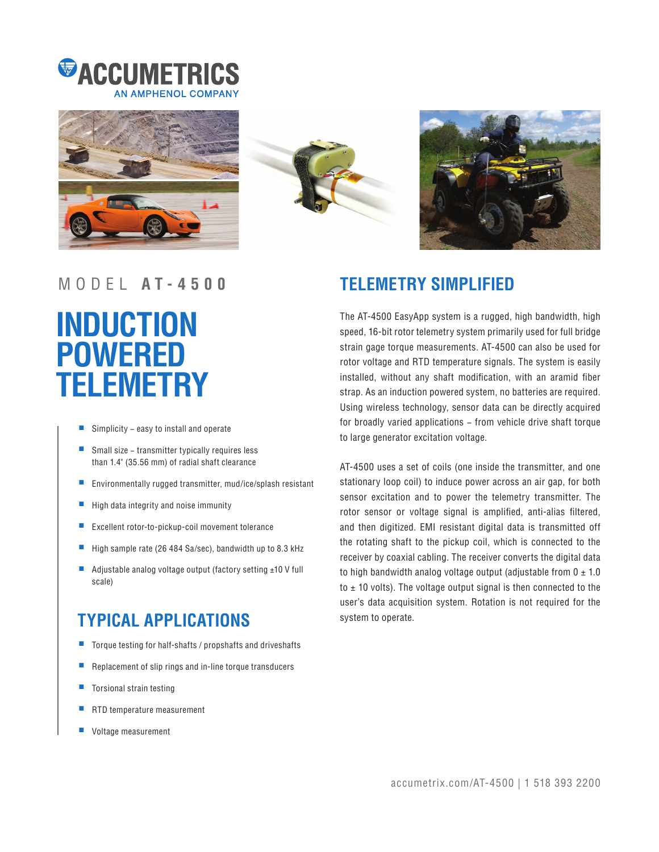







# **INDUCTION POWERED TELEMETRY**

- Simplicity − easy to install and operate
- Small size transmitter typically requires less than 1.4" (35.56 mm) of radial shaft clearance
- Environmentally rugged transmitter, mud/ice/splash resistant
- High data integrity and noise immunity
- Excellent rotor-to-pickup-coil movement tolerance
- High sample rate (26 484 Sa/sec), bandwidth up to 8.3 kHz
- Adjustable analog voltage output (factory setting ±10 V full scale)

## **TYPICAL APPLICATIONS**

- Torque testing for half-shafts / propshafts and driveshafts
- Replacement of slip rings and in-line torque transducers
- Torsional strain testing
- RTD temperature measurement
- Voltage measurement

### MODEL **A T - 4 5 0 0 TELEMETRY SIMPLIFIED**

The AT-4500 EasyApp system is a rugged, high bandwidth, high speed, 16-bit rotor telemetry system primarily used for full bridge strain gage torque measurements. AT-4500 can also be used for rotor voltage and RTD temperature signals. The system is easily installed, without any shaft modification, with an aramid fiber strap. As an induction powered system, no batteries are required. Using wireless technology, sensor data can be directly acquired for broadly varied applications – from vehicle drive shaft torque to large generator excitation voltage.

AT-4500 uses a set of coils (one inside the transmitter, and one stationary loop coil) to induce power across an air gap, for both sensor excitation and to power the telemetry transmitter. The rotor sensor or voltage signal is amplified, anti-alias filtered, and then digitized. EMI resistant digital data is transmitted off the rotating shaft to the pickup coil, which is connected to the receiver by coaxial cabling. The receiver converts the digital data to high bandwidth analog voltage output (adjustable from  $0 \pm 1.0$ to  $\pm$  10 volts). The voltage output signal is then connected to the user's data acquisition system. Rotation is not required for the system to operate.